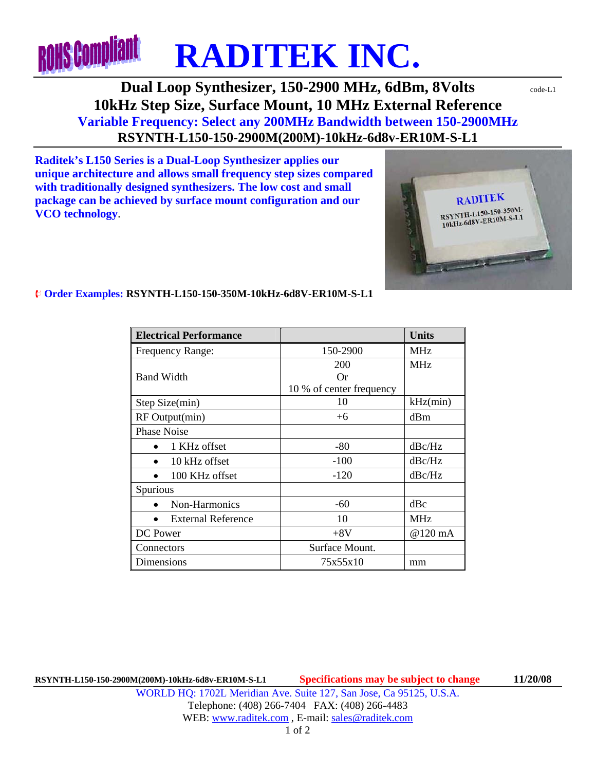

## **Dual Loop Synthesizer, 150-2900 MHz, 6dBm, 8Volts** code-L1 **10kHz Step Size, Surface Mount, 10 MHz External Reference Variable Frequency: Select any 200MHz Bandwidth between 150-2900MHz RSYNTH-L150-150-2900M(200M)-10kHz-6d8v-ER10M-S-L1**

**Raditek's L150 Series is a Dual-Loop Synthesizer applies our unique architecture and allows small frequency step sizes compared with traditionally designed synthesizers. The low cost and small package can be achieved by surface mount configuration and our VCO technology**.



## ¨ **Order Examples: RSYNTH-L150-150-350M-10kHz-6d8V-ER10M-S-L1**

| <b>Electrical Performance</b> |                          | <b>Units</b> |
|-------------------------------|--------------------------|--------------|
| Frequency Range:              | 150-2900                 | <b>MHz</b>   |
|                               | 200                      | <b>MHz</b>   |
| <b>Band Width</b>             | Or                       |              |
|                               | 10 % of center frequency |              |
| Step Size(min)                | 10                       | kHz(min)     |
| RF Output(min)                | $+6$                     | dBm          |
| <b>Phase Noise</b>            |                          |              |
| 1 KHz offset                  | -80                      | dBc/Hz       |
| 10 kHz offset                 | $-100$                   | dBc/Hz       |
| 100 KHz offset                | $-120$                   | dBc/Hz       |
| Spurious                      |                          |              |
| Non-Harmonics                 | $-60$                    | dBc          |
| <b>External Reference</b>     | 10                       | <b>MHz</b>   |
| DC Power                      | $+8V$                    | @120 mA      |
| Connectors                    | Surface Mount.           |              |
| Dimensions                    | 75x55x10                 | mm           |

**RSYNTH-L150-150-2900M(200M)-10kHz-6d8v-ER10M-S-L1 Specifications may be subject to change 11/20/08**  WORLD HQ: 1702L Meridian Ave. Suite 127, San Jose, Ca 95125, U.S.A. Telephone: (408) 266-7404 FAX: (408) 266-4483 WEB: www.raditek.com, E-mail: sales@raditek.com